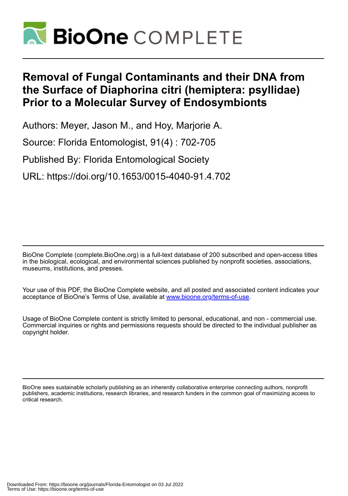

# **Removal of Fungal Contaminants and their DNA from the Surface of Diaphorina citri (hemiptera: psyllidae) Prior to a Molecular Survey of Endosymbionts**

Authors: Meyer, Jason M., and Hoy, Marjorie A.

Source: Florida Entomologist, 91(4) : 702-705

Published By: Florida Entomological Society

URL: https://doi.org/10.1653/0015-4040-91.4.702

BioOne Complete (complete.BioOne.org) is a full-text database of 200 subscribed and open-access titles in the biological, ecological, and environmental sciences published by nonprofit societies, associations, museums, institutions, and presses.

Your use of this PDF, the BioOne Complete website, and all posted and associated content indicates your acceptance of BioOne's Terms of Use, available at www.bioone.org/terms-of-use.

Usage of BioOne Complete content is strictly limited to personal, educational, and non - commercial use. Commercial inquiries or rights and permissions requests should be directed to the individual publisher as copyright holder.

BioOne sees sustainable scholarly publishing as an inherently collaborative enterprise connecting authors, nonprofit publishers, academic institutions, research libraries, and research funders in the common goal of maximizing access to critical research.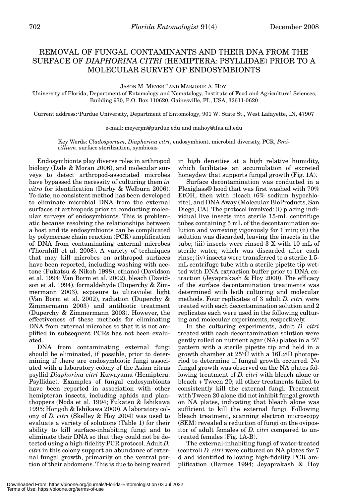## REMOVAL OF FUNGAL CONTAMINANTS AND THEIR DNA FROM THE SURFACE OF *DIAPHORINA CITRI* (HEMIPTERA: PSYLLIDAE) PRIOR TO A MOLECULAR SURVEY OF ENDOSYMBIONTS

JASON M. MEYER<sup>1,2</sup> AND MARJORIE A. HOY<sup>1</sup>

1 University of Florida, Department of Entomology and Nematology, Institute of Food and Agricultural Sciences, Building 970, P.O. Box 110620, Gainesville, FL, USA, 32611-0620

Current address: 2Purdue University, Department of Entomology, 901 W. State St., West Lafayette, IN, 47907

e-mail: meyerjm@purdue.edu and mahoy@ifas.ufl.edu

Key Words: *Cladosporium, Diaphorina citri*, endosymbiont, microbial diversity, PCR, *Penicillium*, surface sterilization, symbiosis

Endosymbionts play diverse roles in arthropod biology (Dale & Moran 2006), and molecular surveys to detect arthropod-associated microbes have bypassed the necessity of culturing them *in vitro* for identification (Darby & Welburn 2006). To date, no consistent method has been developed to eliminate microbial DNA from the external surfaces of arthropods prior to conducting molecular surveys of endosymbionts. This is problematic because resolving the relationships between a host and its endosymbionts can be complicated by polymerase chain reaction (PCR) amplification of DNA from contaminating external microbes (Thornhill et al. 2008). A variety of techniques that may kill microbes on arthropod surfaces have been reported, including washing with acetone (Fukatsu & Nikoh 1998), ethanol (Davidson et al. 1994; Van Borm et al. 2002), bleach (Davidson et al. 1994), formaldehyde (Duperchy & Zimmermann 2003), exposure to ultraviolet light (Van Borm et al. 2002), radiation **(**Duperchy & Zimmermann 2003) and antibiotic treatment (Duperchy & Zimmermann 2003). However, the effectiveness of these methods for eliminating DNA from external microbes so that it is not amplified in subsequent PCRs has not been evaluated.

DNA from contaminating external fungi should be eliminated, if possible, prior to determining if there are endosymbiotic fungi associated with a laboratory colony of the Asian citrus psyllid *Diaphorina citri* Kuwayama (Hemiptera: Psyllidae). Examples of fungal endosymbionts have been reported in association with other hemipteran insects, including aphids and planthoppers (Noda et al. 1994; Fukatsu & Ishikawa 1995; Hongoh & Ishikawa 2000). A laboratory colony of *D. citri* (Skelley & Hoy 2004) was used to evaluate a variety of solutions (Table 1) for their ability to kill surface-inhabiting fungi and to eliminate their DNA so that they could not be detected using a high-fidelity PCR protocol. Adult *D. citri* in this colony support an abundance of external fungal growth, primarily on the ventral portion of their abdomens. This is due to being reared

in high densities at a high relative humidity, which facilitates an accumulation of excreted honeydew that supports fungal growth (Fig. 1A).

Surface decontamination was conducted in a Plexiglass® hood that was first washed with 70% EtOH, then with bleach (6% sodium hypochlorite), and DNA Away (Molecular BioProducts, San Diego, CA). The protocol involved: (i) placing individual live insects into sterile 15-mL centrifuge tubes containing 5 mL of the decontamination solution and vortexing vigorously for 1 min; (ii) the solution was discarded, leaving the insects in the tube; (iii) insects were rinsed 3 X with 10 mL of sterile water, which was discarded after each rinse; (iv) insects were transferred to a sterile 1.5 mL centrifuge tube with a sterile pipette tip wetted with DNA extraction buffer prior to DNA extraction (Jeyaprakash & Hoy 2000). The efficacy of the surface decontamination treatments was determined with both culturing and molecular methods. Four replicates of 3 adult *D. citri* were treated with each decontamination solution and 2 replicates each were used in the following culturing and molecular experiments, respectively.

In the culturing experiments, adult *D. citri* treated with each decontamination solution were gently rolled on nutrient agar (NA) plates in a "Z" pattern with a sterile pipette tip and held in a growth chamber at 25°C with a 16L:8D photoperiod to determine if fungal growth occurred. No fungal growth was observed on the NA plates following treatment of *D. citri* with bleach alone or bleach + Tween 20; all other treatments failed to consistently kill the external fungi. Treatment with Tween 20 alone did not inhibit fungal growth on NA plates, indicating that bleach alone was sufficient to kill the external fungi. Following bleach treatment, scanning electron microscopy (SEM) revealed a reduction of fungi on the ovipositor of adult females of *D. citri* compared to untreated females (Fig. 1A-B).

The external-inhabiting fungi of water-treated (control) *D. citri* were cultured on NA plates for 7 d and identified following high-fidelity PCR amplification (Barnes 1994; Jeyaprakash & Hoy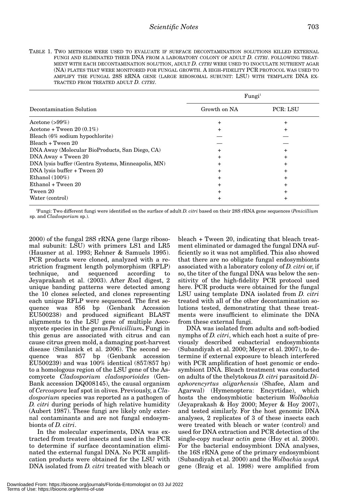TABLE 1. TWO METHODS WERE USED TO EVALUATE IF SURFACE DECONTAMINATION SOLUTIONS KILLED EXTERNAL FUNGI AND ELIMINATED THEIR DNA FROM A LABORATORY COLONY OF ADULT *D. CITRI*. FOLLOWING TREAT-MENT WITH EACH DECONTAMINATION SOLUTION, ADULT *D. CITRI* WERE USED TO INOCULATE NUTRIENT AGAR (NA) PLATES THAT WERE MONITORED FOR FUNGAL GROWTH. A HIGH-FIDELITY PCR PROTOCOL WAS USED TO AMPLIFY THE FUNGAL 28S RRNA GENE (LARGE RIBOSOMAL SUBUNIT: LSU) WITH TEMPLATE DNA EX-TRACTED FROM TREATED ADULT *D. CITRI*.

| Decontamination Solution                           | Fungi <sup>1</sup> |                 |
|----------------------------------------------------|--------------------|-----------------|
|                                                    | Growth on NA       | <b>PCR: LSU</b> |
| Acetone $(>99\%)$                                  | +                  | +               |
| Acetone + Tween $20(0.1\%)$                        |                    |                 |
| Bleach (6% sodium hypochlorite)                    |                    |                 |
| Bleach + Tween 20                                  |                    |                 |
| DNA Away (Molecular BioProducts, San Diego, CA)    |                    |                 |
| DNA Away + Tween 20                                | ٠                  | ٠               |
| DNA lysis buffer (Gentra Systems, Minneapolis, MN) |                    |                 |
| DNA lysis buffer + Tween 20                        |                    |                 |
| Ethanol $(100\%)$                                  |                    |                 |
| Ethanol + Tween 20                                 |                    |                 |
| Tween 20                                           |                    |                 |
| Water (control)                                    |                    |                 |

1 Fungi: Two different fungi were identified on the surface of adult *D. citri* based on their 28S rRNA gene sequences (*Penicillium* sp. and *Cladosporium* sp.).

2000) of the fungal 28S rRNA gene (large ribosomal subunit: LSU) with primers LS1 and LR5 (Hausner at al. 1993; Rehner & Samuels 1995). PCR products were cloned, analyzed with a restriction fragment length polymorphism (RFLP) technique, and sequenced according to Jeyaprakash et al. (2003). After *Rsa*I digest, 2 unique banding patterns were detected among the 10 clones selected, and clones representing each unique RFLP were sequenced. The first sequence was 856 bp (Genbank Accession EU500238) and produced significant BLAST alignments to the LSU gene of multiple Ascomycete species in the genus *Penicillium***.** Fungi in this genus are associated with citrus and can cause citrus green mold, a damaging post-harvest disease (Smilanick et al. 2006). The second sequence was 857 bp (Genbank accession EU500239) and was 100% identical (857/857 bp) to a homologous region of the LSU gene of the Ascomycete *Cladosporium cladosporioides* (Gen-Bank accession DQ008145), the causal organism of *Cercospora* leaf spot in olives. Previously, a *Cladosporium* species was reported as a pathogen of *D. citri* during periods of high relative humidity (Aubert 1987). These fungi are likely only external contaminants and are not fungal endosymbionts of *D. citri*.

In the molecular experiments, DNA was extracted from treated insects and used in the PCR to determine if surface decontamination eliminated the external fungal DNA. No PCR amplification products were obtained for the LSU with DNA isolated from *D. citri* treated with bleach or bleach + Tween 20, indicating that bleach treatment eliminated or damaged the fungal DNA sufficiently so it was not amplified. This also showed that there are no obligate fungal endosymbionts associated with a laboratory colony of *D. citri* or, if so, the titer of the fungal DNA was below the sensitivity of the high-fidelity PCR protocol used here. PCR products were obtained for the fungal LSU using template DNA isolated from *D. citri* treated with all of the other decontamination solutions tested, demonstrating that these treatments were insufficient to eliminate the DNA from these external fungi.

DNA was isolated from adults and soft-bodied nymphs of *D. citri*, which each host a suite of previously described eubacterial endosymbionts (Subandiyah et al. 2000; Meyer et al. 2007), to determine if external exposure to bleach interfered with PCR amplification of host genomic or endosymbiont DNA. Bleach treatment was conducted on adults of the thelytokous *D. citri* parasitoid *Diaphorencyrtus aligarhensis* (Shafee, Alam and Agarwal) (Hymenoptera: Encyrtidae), which hosts the endosymbiotic bacterium *Wolbachia* (Jeyaprakash & Hoy 2000; Meyer & Hoy 2007), and tested similarly. For the host genomic DNA analyses, 2 replicates of 3 of these insects each were treated with bleach or water (control) and used for DNA extraction and PCR detection of the single-copy nuclear *actin* gene (Hoy et al. 2000). For the bacterial endosymbiont DNA analyses, the 16S rRNA gene of the primary endosymbiont (Subandiyah et al. 2000) and the *Wolbachia wspA* gene (Braig et al. 1998) were amplified from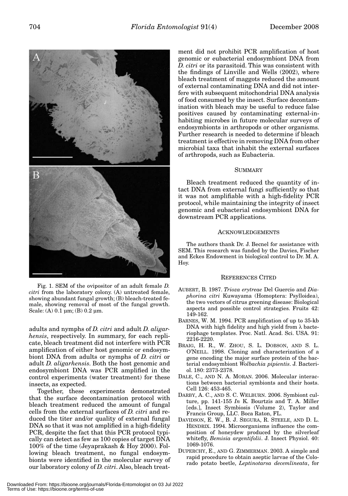B

Fig. 1. SEM of the ovipositor of an adult female *D. citri* from the laboratory colony. (A) untreated female, showing abundant fungal growth; (B) bleach-treated female, showing removal of most of the fungal growth. Scale: (A)  $0.1 \mu m$ ; (B)  $0.2 \mu m$ .

adults and nymphs of *D. citri* and adult *D. aligarhensis*, respectively. In summary, for each replicate, bleach treatment did not interfere with PCR amplification of either host genomic or endosymbiont DNA from adults or nymphs of *D. citri* or adult *D. aligarhensis*. Both the host genomic and endosymbiont DNA was PCR amplified in the control experiments (water treatment) for these insects, as expected.

Together, these experiments demonstrated that the surface decontamination protocol with bleach treatment reduced the amount of fungal cells from the external surfaces of *D. citri* and reduced the titer and/or quality of external fungal DNA so that it was not amplified in a high-fidelity PCR, despite the fact that this PCR protocol typically can detect as few as 100 copies of target DNA 100% of the time (Jeyaprakash & Hoy 2000). Following bleach treatment, no fungal endosymbionts were identified in the molecular survey of our laboratory colony of *D. citri*. Also, bleach treat-

ment did not prohibit PCR amplification of host genomic or eubacterial endosymbiont DNA from *D. citri* or its parasitoid. This was consistent with the findings of Linville and Wells (2002), where bleach treatment of maggots reduced the amount of external contaminating DNA and did not interfere with subsequent mitochondrial DNA analysis of food consumed by the insect. Surface decontamination with bleach may be useful to reduce false positives caused by contaminating external-inhabiting microbes in future molecular surveys of endosymbionts in arthropods or other organisms. Further research is needed to determine if bleach treatment is effective in removing DNA from other microbial taxa that inhabit the external surfaces of arthropods, such as Eubacteria.

#### **SUMMARY**

Bleach treatment reduced the quantity of intact DNA from external fungi sufficiently so that it was not amplifiable with a high-fidelity PCR protocol, while maintaining the integrity of insect genomic and eubacterial endosymbiont DNA for downstream PCR applications.

### **ACKNOWLEDGEMENTS**

The authors thank Dr. J. Becnel for assistance with SEM. This research was funded by the Davies, Fischer and Eckes Endowment in biological control to Dr. M. A. Hoy.

#### REFERENCES CITED

- AUBERT, B. 1987. *Trioza erytreae* Del Guercio and *Diaphorina citri* Kuwayama (Homoptera: Psylloidea), the two vectors of citrus greening disease: Biological aspects and possible control strategies. Fruits 42: 149-162.
- BARNES, W. M. 1994. PCR amplification of up to 35-kb DNA with high fidelity and high yield from λ bacteriophage templates. Proc. Natl. Acad. Sci. USA. 91: 2216-2220.
- BRAIG, H. R., W. ZHOU, S. L. DOBSON, AND S. L. O'NEILL. 1998. Cloning and characterization of a gene encoding the major surface protein of the bacterial endosymbiont *Wolbachia pipientis*. J. Bacteriol. 180: 2373-2378.
- DALE, C., AND N. A. MORAN. 2006. Molecular interactions between bacterial symbionts and their hosts. Cell 126: 453-465.
- DARBY, A. C., AND S. C. WELBURN. 2006. Symbiont culture, pp. 141-155 *In* K. Bourtzis and T. A. Miller [eds.], Insect Symbiosis (Volume 2), Taylor and Francis Group, LLC. Boca Raton, FL.
- DAVIDSON, E. W., B. J. SEGURA, R. STEELE, AND D. L. HENDRIX. 1994. Microorganisms influence the composition of honeydew produced by the silverleaf whitefly, *Bemisia argentifolii*. J. Insect Physiol. 40: 1069-1076.
- DUPERCHY, E., AND G. ZIMMERMAN. 2003. A simple and rapid procedure to obtain aseptic larvae of the Colorado potato beetle, *Leptinotarsa decemlineata*, for